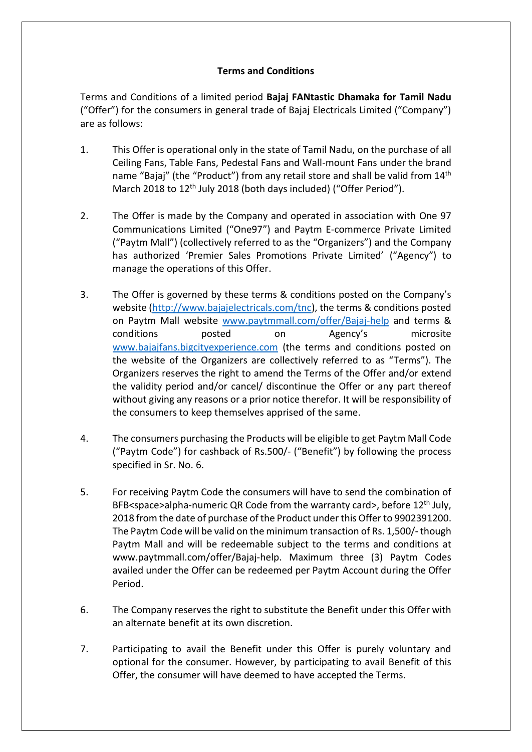## **Terms and Conditions**

Terms and Conditions of a limited period **Bajaj FANtastic Dhamaka for Tamil Nadu**  ("Offer") for the consumers in general trade of Bajaj Electricals Limited ("Company") are as follows:

- 1. This Offer is operational only in the state of Tamil Nadu, on the purchase of all Ceiling Fans, Table Fans, Pedestal Fans and Wall-mount Fans under the brand name "Bajaj" (the "Product") from any retail store and shall be valid from 14<sup>th</sup> March 2018 to 12<sup>th</sup> July 2018 (both days included) ("Offer Period").
- 2. The Offer is made by the Company and operated in association with One 97 Communications Limited ("One97") and Paytm E-commerce Private Limited ("Paytm Mall") (collectively referred to as the "Organizers") and the Company has authorized 'Premier Sales Promotions Private Limited' ("Agency") to manage the operations of this Offer.
- 3. The Offer is governed by these terms & conditions posted on the Company's website [\(http://www.bajajelectricals.com/tnc\)](http://www.bajajelectricals.com/tnc), the terms & conditions posted on Paytm Mall website [www.paytmmall.com/offer/Bajaj-help](http://www.paytmmall.com/offer/Bajaj-help) and terms & conditions posted on Agency's microsite [www.bajajfans.bigcityexperience.com](http://www.bajajfans.bigcityexperience.com/) (the terms and conditions posted on the website of the Organizers are collectively referred to as "Terms"). The Organizers reserves the right to amend the Terms of the Offer and/or extend the validity period and/or cancel/ discontinue the Offer or any part thereof without giving any reasons or a prior notice therefor. It will be responsibility of the consumers to keep themselves apprised of the same.
- 4. The consumers purchasing the Products will be eligible to get Paytm Mall Code ("Paytm Code") for cashback of Rs.500/- ("Benefit") by following the process specified in Sr. No. 6.
- 5. For receiving Paytm Code the consumers will have to send the combination of BFB<space>alpha-numeric QR Code from the warranty card>, before 12<sup>th</sup> July, 2018 from the date of purchase of the Product under this Offer to 9902391200. The Paytm Code will be valid on the minimum transaction of Rs. 1,500/- though Paytm Mall and will be redeemable subject to the terms and conditions at www.paytmmall.com/offer/Bajaj-help. Maximum three (3) Paytm Codes availed under the Offer can be redeemed per Paytm Account during the Offer Period.
- 6. The Company reserves the right to substitute the Benefit under this Offer with an alternate benefit at its own discretion.
- 7. Participating to avail the Benefit under this Offer is purely voluntary and optional for the consumer. However, by participating to avail Benefit of this Offer, the consumer will have deemed to have accepted the Terms.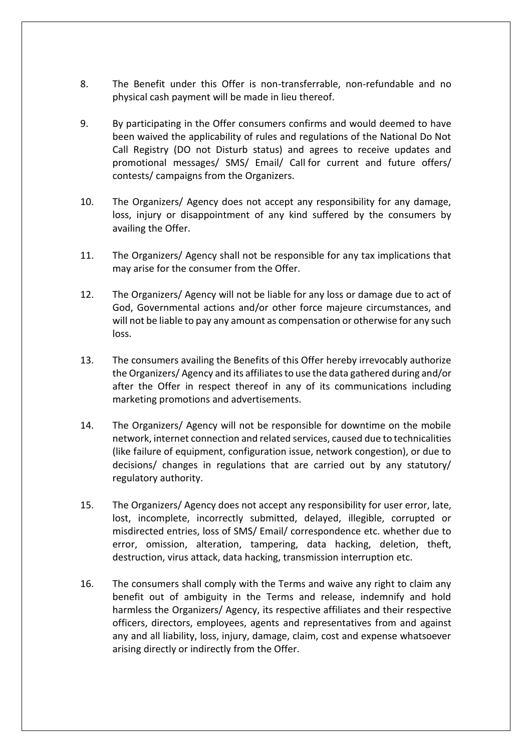- 8. The Benefit under this Offer is non-transferrable, non-refundable and no physical cash payment will be made in lieu thereof.
- 9. By participating in the Offer consumers confirms and would deemed to have been waived the applicability of rules and regulations of the National Do Not Call Registry (DO not Disturb status) and agrees to receive updates and promotional messages/ SMS/ Email/ Call for current and future offers/ contests/ campaigns from the Organizers.
- 10. The Organizers/ Agency does not accept any responsibility for any damage, loss, injury or disappointment of any kind suffered by the consumers by availing the Offer.
- 11. The Organizers/ Agency shall not be responsible for any tax implications that may arise for the consumer from the Offer.
- 12. The Organizers/ Agency will not be liable for any loss or damage due to act of God, Governmental actions and/or other force majeure circumstances, and will not be liable to pay any amount as compensation or otherwise for any such loss.
- 13. The consumers availing the Benefits of this Offer hereby irrevocably authorize the Organizers/ Agency and its affiliates to use the data gathered during and/or after the Offer in respect thereof in any of its communications including marketing promotions and advertisements.
- 14. The Organizers/ Agency will not be responsible for downtime on the mobile network, internet connection and related services, caused due to technicalities (like failure of equipment, configuration issue, network congestion), or due to decisions/ changes in regulations that are carried out by any statutory/ regulatory authority.
- 15. The Organizers/ Agency does not accept any responsibility for user error, late, lost, incomplete, incorrectly submitted, delayed, illegible, corrupted or misdirected entries, loss of SMS/ Email/ correspondence etc. whether due to error, omission, alteration, tampering, data hacking, deletion, theft, destruction, virus attack, data hacking, transmission interruption etc.
- 16. The consumers shall comply with the Terms and waive any right to claim any benefit out of ambiguity in the Terms and release, indemnify and hold harmless the Organizers/ Agency, its respective affiliates and their respective officers, directors, employees, agents and representatives from and against any and all liability, loss, injury, damage, claim, cost and expense whatsoever arising directly or indirectly from the Offer.